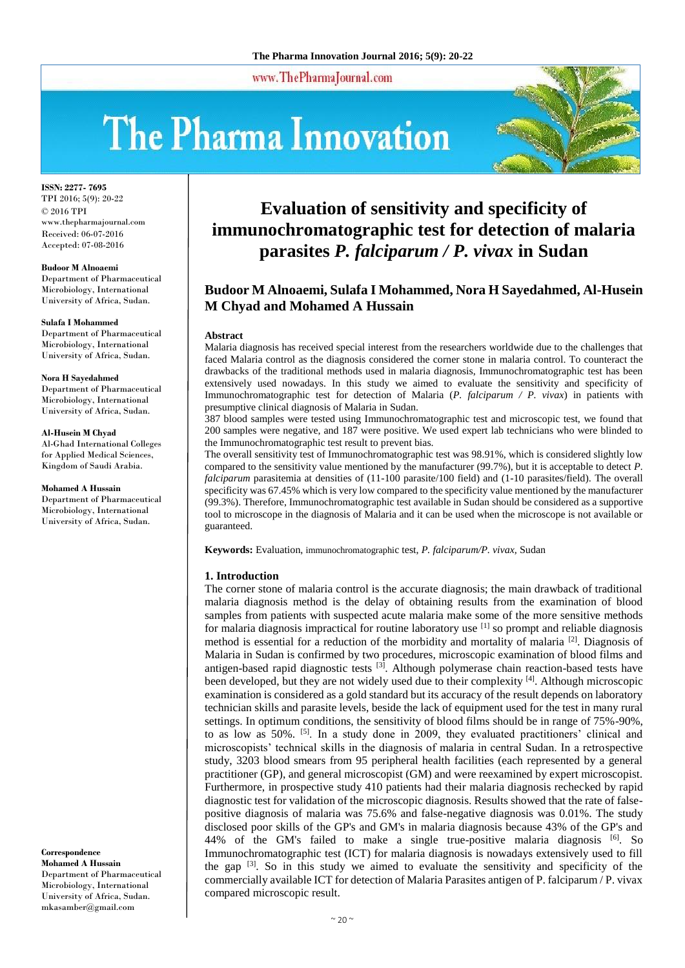www.ThePharmaJournal.com

# The Pharma Innovation



**ISSN: 2277- 7695** TPI 2016; 5(9): 20-22 © 2016 TPI www.thepharmajournal.com Received: 06-07-2016 Accepted: 07-08-2016

#### **Budoor M Alnoaemi**

Department of Pharmaceutical Microbiology, International University of Africa, Sudan.

#### **Sulafa I Mohammed**

Department of Pharmaceutical Microbiology, International University of Africa, Sudan.

#### **Nora H Sayedahmed**

Department of Pharmaceutical Microbiology, International University of Africa, Sudan.

#### **Al-Husein M Chyad**

Al-Ghad International Colleges for Applied Medical Sciences, Kingdom of Saudi Arabia.

#### **Mohamed A Hussain**

Department of Pharmaceutical Microbiology, International University of Africa, Sudan.

**Correspondence Mohamed A Hussain** Department of Pharmaceutical Microbiology, International University of Africa, Sudan. mkasamber@gmail.com

# **Evaluation of sensitivity and specificity of immunochromatographic test for detection of malaria parasites** *P. falciparum / P. vivax* **in Sudan**

# **Budoor M Alnoaemi, Sulafa I Mohammed, Nora H Sayedahmed, Al-Husein M Chyad and Mohamed A Hussain**

#### **Abstract**

Malaria diagnosis has received special interest from the researchers worldwide due to the challenges that faced Malaria control as the diagnosis considered the corner stone in malaria control. To counteract the drawbacks of the traditional methods used in malaria diagnosis, Immunochromatographic test has been extensively used nowadays. In this study we aimed to evaluate the sensitivity and specificity of Immunochromatographic test for detection of Malaria (*P. falciparum / P. vivax*) in patients with presumptive clinical diagnosis of Malaria in Sudan.

387 blood samples were tested using Immunochromatographic test and microscopic test, we found that 200 samples were negative, and 187 were positive. We used expert lab technicians who were blinded to the Immunochromatographic test result to prevent bias.

The overall sensitivity test of Immunochromatographic test was 98.91%, which is considered slightly low compared to the sensitivity value mentioned by the manufacturer (99.7%), but it is acceptable to detect *P. falciparum* parasitemia at densities of (11-100 parasite/100 field) and (1-10 parasites/field). The overall specificity was 67.45% which is very low compared to the specificity value mentioned by the manufacturer (99.3%). Therefore, Immunochromatographic test available in Sudan should be considered as a supportive tool to microscope in the diagnosis of Malaria and it can be used when the microscope is not available or guaranteed.

**Keywords:** Evaluation, immunochromatographic test, *P. falciparum/P. vivax,* Sudan

#### **1. Introduction**

The corner stone of malaria control is the accurate diagnosis; the main drawback of traditional malaria diagnosis method is the delay of obtaining results from the examination of blood samples from patients with suspected acute malaria make some of the more sensitive methods for malaria diagnosis impractical for routine laboratory use  $[1]$  so prompt and reliable diagnosis method is essential for a reduction of the morbidity and mortality of malaria [2]. Diagnosis of Malaria in Sudan is confirmed by two procedures, microscopic examination of blood films and antigen-based rapid diagnostic tests  $[3]$ . Although polymerase chain reaction-based tests have been developed, but they are not widely used due to their complexity [4]. Although microscopic examination is considered as a gold standard but its accuracy of the result depends on laboratory technician skills and parasite levels, beside the lack of equipment used for the test in many rural settings. In optimum conditions, the sensitivity of blood films should be in range of 75%-90%, to as low as 50%. [5]. In a study done in 2009, they evaluated practitioners' clinical and microscopists' technical skills in the diagnosis of malaria in central Sudan. In a retrospective study, 3203 blood smears from 95 peripheral health facilities (each represented by a general practitioner (GP), and general microscopist (GM) and were reexamined by expert microscopist. Furthermore, in prospective study 410 patients had their malaria diagnosis rechecked by rapid diagnostic test for validation of the microscopic diagnosis. Results showed that the rate of falsepositive diagnosis of malaria was 75.6% and false-negative diagnosis was 0.01%. The study disclosed poor skills of the GP's and GM's in malaria diagnosis because 43% of the GP's and 44% of the GM's failed to make a single true-positive malaria diagnosis  $[6]$ . So Immunochromatographic test (ICT) for malaria diagnosis is nowadays extensively used to fill the gap [3]. So in this study we aimed to evaluate the sensitivity and specificity of the commercially available ICT for detection of Malaria Parasites antigen of P. falciparum / P. vivax compared microscopic result.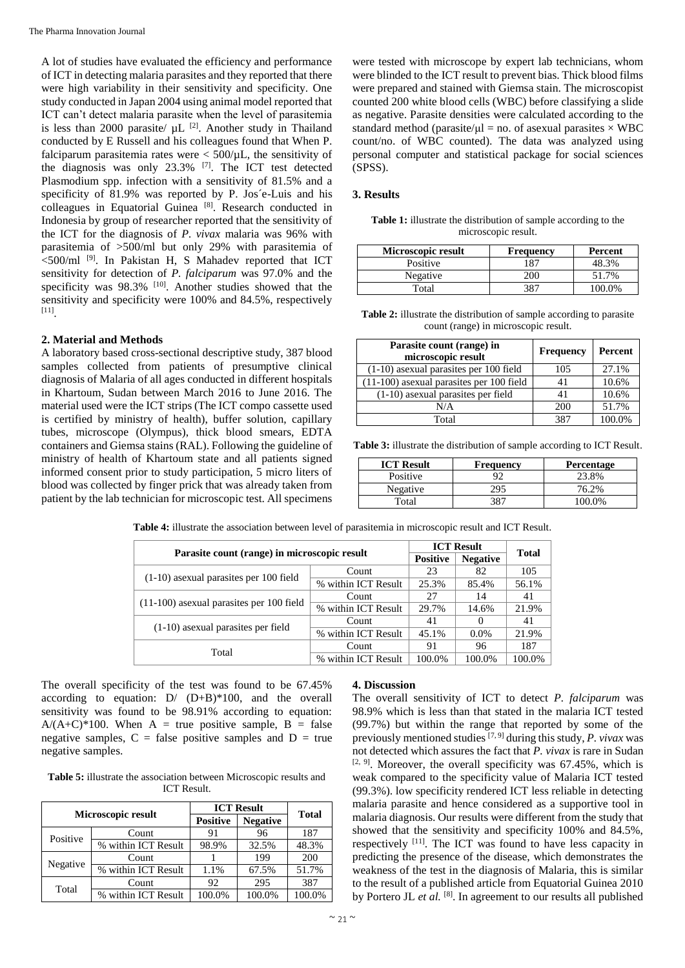A lot of studies have evaluated the efficiency and performance of ICT in detecting malaria parasites and they reported that there were high variability in their sensitivity and specificity. One study conducted in Japan 2004 using animal model reported that ICT can't detect malaria parasite when the level of parasitemia is less than 2000 parasite/  $\mu$ L <sup>[2]</sup>. Another study in Thailand conducted by E Russell and his colleagues found that When P. falciparum parasitemia rates were  $< 500/\mu L$ , the sensitivity of the diagnosis was only 23.3% [7]. The ICT test detected Plasmodium spp. infection with a sensitivity of 81.5% and a specificity of 81.9% was reported by P. Jos´e-Luis and his colleagues in Equatorial Guinea [8]. Research conducted in Indonesia by group of researcher reported that the sensitivity of the ICT for the diagnosis of *P. vivax* malaria was 96% with parasitemia of >500/ml but only 29% with parasitemia of  $<$ 500/ml<sup>[9]</sup>. In Pakistan H, S Mahadev reported that ICT sensitivity for detection of *P. falciparum* was 97.0% and the specificity was  $98.3\%$  [10]. Another studies showed that the sensitivity and specificity were 100% and 84.5%, respectively [11] .

# **2. Material and Methods**

A laboratory based cross-sectional descriptive study, 387 blood samples collected from patients of presumptive clinical diagnosis of Malaria of all ages conducted in different hospitals in Khartoum, Sudan between March 2016 to June 2016. The material used were the ICT strips (The ICT compo cassette used is certified by ministry of health), buffer solution, capillary tubes, microscope (Olympus), thick blood smears, EDTA containers and Giemsa stains (RAL). Following the guideline of ministry of health of Khartoum state and all patients signed informed consent prior to study participation, 5 micro liters of blood was collected by finger prick that was already taken from patient by the lab technician for microscopic test. All specimens

were tested with microscope by expert lab technicians, whom were blinded to the ICT result to prevent bias. Thick blood films were prepared and stained with Giemsa stain. The microscopist counted 200 white blood cells (WBC) before classifying a slide as negative. Parasite densities were calculated according to the standard method (parasite/ $\mu$ l = no. of asexual parasites  $\times$  WBC count/no. of WBC counted). The data was analyzed using personal computer and statistical package for social sciences (SPSS).

# **3. Results**

| <b>Table 1:</b> illustrate the distribution of sample according to the |
|------------------------------------------------------------------------|
| microscopic result.                                                    |

| Microscopic result | <b>Frequency</b> | Percent |
|--------------------|------------------|---------|
| Positive           |                  | 48.3%   |
| Negative           |                  | 51.7%   |
| Total              | 381              | 00.0%   |

**Table 2:** illustrate the distribution of sample according to parasite count (range) in microscopic result.

| Parasite count (range) in<br>microscopic result | <b>Frequency</b> | Percent |
|-------------------------------------------------|------------------|---------|
| (1-10) asexual parasites per 100 field          | 105              | 27.1%   |
| (11-100) asexual parasites per 100 field        | 41               | 10.6%   |
| $(1-10)$ as exual parasites per field           | 41               | 10.6%   |
| N/A                                             | 200              | 51.7%   |
| Total                                           | 387              | 100.0%  |

**Table 3:** illustrate the distribution of sample according to ICT Result.

| <b>ICT Result</b> | <b>Frequency</b> | <b>Percentage</b> |
|-------------------|------------------|-------------------|
| Positive          |                  | 23.8%             |
| Negative          | 295              | 76.2%             |
| Total             | 387              | 100 0%            |

**Table 4:** illustrate the association between level of parasitemia in microscopic result and ICT Result.

| Parasite count (range) in microscopic result |                           | <b>ICT Result</b> |                 | <b>Total</b> |  |
|----------------------------------------------|---------------------------|-------------------|-----------------|--------------|--|
|                                              | <b>Positive</b>           |                   | <b>Negative</b> |              |  |
| $(1-10)$ as exual parasites per 100 field    | Count                     | 23                | 82              | 105          |  |
|                                              | % within ICT Result       | 25.3%             | 85.4%           | 56.1%        |  |
| $(11-100)$ as exual parasites per 100 field  | Count                     | 27                | 14              | 41           |  |
|                                              | % within ICT Result       | 29.7%             | 14.6%           | 21.9%        |  |
|                                              | Count                     | 41                | $\Omega$        | 41           |  |
| (1-10) as exual parasites per field          | % within ICT Result       | 45.1%             | $0.0\%$         | 21.9%        |  |
|                                              | Count                     | 91                | 96              | 187          |  |
| Total                                        | within ICT Result<br>$\%$ | 100.0%            | 100.0%          | 100.0%       |  |

The overall specificity of the test was found to be 67.45% according to equation:  $D/(D+B)^*100$ , and the overall sensitivity was found to be 98.91% according to equation:  $A/(A+C)^*100$ . When A = true positive sample, B = false negative samples,  $C =$  false positive samples and  $D =$  true negative samples.

**Table 5:** illustrate the association between Microscopic results and ICT Result.

| Microscopic result |                     | <b>ICT Result</b> |                 | <b>Total</b> |
|--------------------|---------------------|-------------------|-----------------|--------------|
|                    |                     | <b>Positive</b>   | <b>Negative</b> |              |
| Positive           | Count               | 91                | 96              | 187          |
|                    | % within ICT Result | 98.9%             | 32.5%           | 48.3%        |
| Negative           | Count               |                   | 199             | 200          |
|                    | % within ICT Result | 1.1%              | 67.5%           | 51.7%        |
| Total              | Count               | 92                | 295             | 387          |
|                    | % within ICT Result | 100.0%            | 100.0%          | 100.0%       |

# **4. Discussion**

The overall sensitivity of ICT to detect *P. falciparum* was 98.9% which is less than that stated in the malaria ICT tested (99.7%) but within the range that reported by some of the previously mentioned studies [7, 9] during this study, *P. vivax* was not detected which assures the fact that *P. vivax* is rare in Sudan  $[2, 9]$ . Moreover, the overall specificity was 67.45%, which is weak compared to the specificity value of Malaria ICT tested (99.3%). low specificity rendered ICT less reliable in detecting malaria parasite and hence considered as a supportive tool in malaria diagnosis. Our results were different from the study that showed that the sensitivity and specificity 100% and 84.5%, respectively [11]. The ICT was found to have less capacity in predicting the presence of the disease, which demonstrates the weakness of the test in the diagnosis of Malaria, this is similar to the result of a published article from Equatorial Guinea 2010 by Portero JL et al. <sup>[8]</sup>. In agreement to our results all published